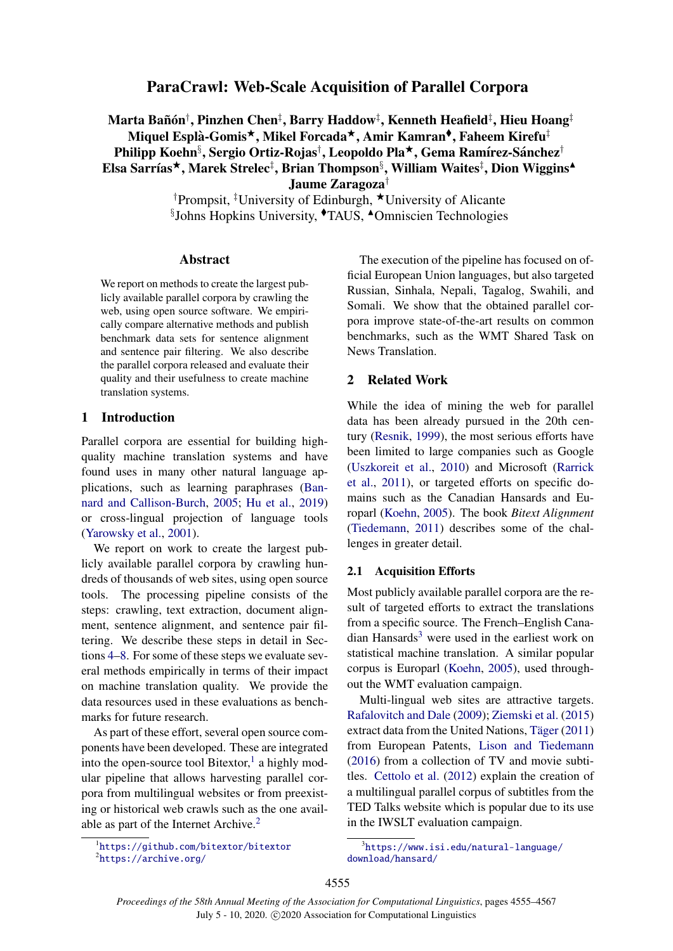# ParaCrawl: Web-Scale Acquisition of Parallel Corpora

# Marta Bañón†, Pinzhen Chen‡, Barry Haddow‡, Kenneth Heafield‡, Hieu Hoang‡ Miquel Esplà-Gomis\*, Mikel Forcada\*, Amir Kamran<sup>\$</sup>, Faheem Kirefu‡ Philipp Koehn<sup>§</sup>, Sergio Ortiz-Rojas<sup>†</sup>, Leopoldo Pla\*, Gema Ramírez-Sánchez<sup>†</sup> Elsa Sarrías\*, Marek Strelec<sup>‡</sup>, Brian Thompson<sup>§</sup>, William Waites<sup>‡</sup>, Dion Wiggins<sup>▲</sup> Jaume Zaragoza†

†Prompsit, <sup>‡</sup>University of Edinburgh, ★University of Alicante §Johns Hopkins University, <sup>+</sup>TAUS, <sup>^</sup>Omniscien Technologies

#### Abstract

We report on methods to create the largest publicly available parallel corpora by crawling the web, using open source software. We empirically compare alternative methods and publish benchmark data sets for sentence alignment and sentence pair filtering. We also describe the parallel corpora released and evaluate their quality and their usefulness to create machine translation systems.

# 1 Introduction

Parallel corpora are essential for building highquality machine translation systems and have found uses in many other natural language applications, such as learning paraphrases [\(Ban](#page-8-0)[nard and Callison-Burch,](#page-8-0) [2005;](#page-8-0) [Hu et al.,](#page-9-0) [2019\)](#page-9-0) or cross-lingual projection of language tools [\(Yarowsky et al.,](#page-11-0) [2001\)](#page-11-0).

We report on work to create the largest publicly available parallel corpora by crawling hundreds of thousands of web sites, using open source tools. The processing pipeline consists of the steps: crawling, text extraction, document alignment, sentence alignment, and sentence pair filtering. We describe these steps in detail in Sections [4](#page-3-0)[–8.](#page-5-0) For some of these steps we evaluate several methods empirically in terms of their impact on machine translation quality. We provide the data resources used in these evaluations as benchmarks for future research.

As part of these effort, several open source components have been developed. These are integrated into the open-source tool Bitextor,<sup>[1](#page-0-0)</sup> a highly modular pipeline that allows harvesting parallel corpora from multilingual websites or from preexisting or historical web crawls such as the one avail-able as part of the Internet Archive.<sup>[2](#page-0-1)</sup>

The execution of the pipeline has focused on official European Union languages, but also targeted Russian, Sinhala, Nepali, Tagalog, Swahili, and Somali. We show that the obtained parallel corpora improve state-of-the-art results on common benchmarks, such as the WMT Shared Task on News Translation.

## 2 Related Work

While the idea of mining the web for parallel data has been already pursued in the 20th century [\(Resnik,](#page-10-0) [1999\)](#page-10-0), the most serious efforts have been limited to large companies such as Google [\(Uszkoreit et al.,](#page-10-1) [2010\)](#page-10-1) and Microsoft [\(Rarrick](#page-10-2) [et al.,](#page-10-2) [2011\)](#page-10-2), or targeted efforts on specific domains such as the Canadian Hansards and Europarl [\(Koehn,](#page-9-1) [2005\)](#page-9-1). The book *Bitext Alignment* [\(Tiedemann,](#page-10-3) [2011\)](#page-10-3) describes some of the challenges in greater detail.

## 2.1 Acquisition Efforts

Most publicly available parallel corpora are the result of targeted efforts to extract the translations from a specific source. The French–English Cana- $\mu$ dian Hansards<sup>[3](#page-0-2)</sup> were used in the earliest work on statistical machine translation. A similar popular corpus is Europarl [\(Koehn,](#page-9-1) [2005\)](#page-9-1), used throughout the WMT evaluation campaign.

Multi-lingual web sites are attractive targets. [Rafalovitch and Dale](#page-10-4) [\(2009\)](#page-10-4); [Ziemski et al.](#page-11-1) [\(2015\)](#page-11-1) extract data from the United Nations, Täger  $(2011)$ from European Patents, [Lison and Tiedemann](#page-9-2) [\(2016\)](#page-9-2) from a collection of TV and movie subtitles. [Cettolo et al.](#page-8-1) [\(2012\)](#page-8-1) explain the creation of a multilingual parallel corpus of subtitles from the TED Talks website which is popular due to its use in the IWSLT evaluation campaign.

<span id="page-0-1"></span><span id="page-0-0"></span><sup>1</sup> <https://github.com/bitextor/bitextor>  ${}^{2}$ <https://archive.org/>

<span id="page-0-2"></span><sup>3</sup> [https://www.isi.edu/natural-language/](https://www.isi.edu/natural-language/download/hansard/) [download/hansard/](https://www.isi.edu/natural-language/download/hansard/)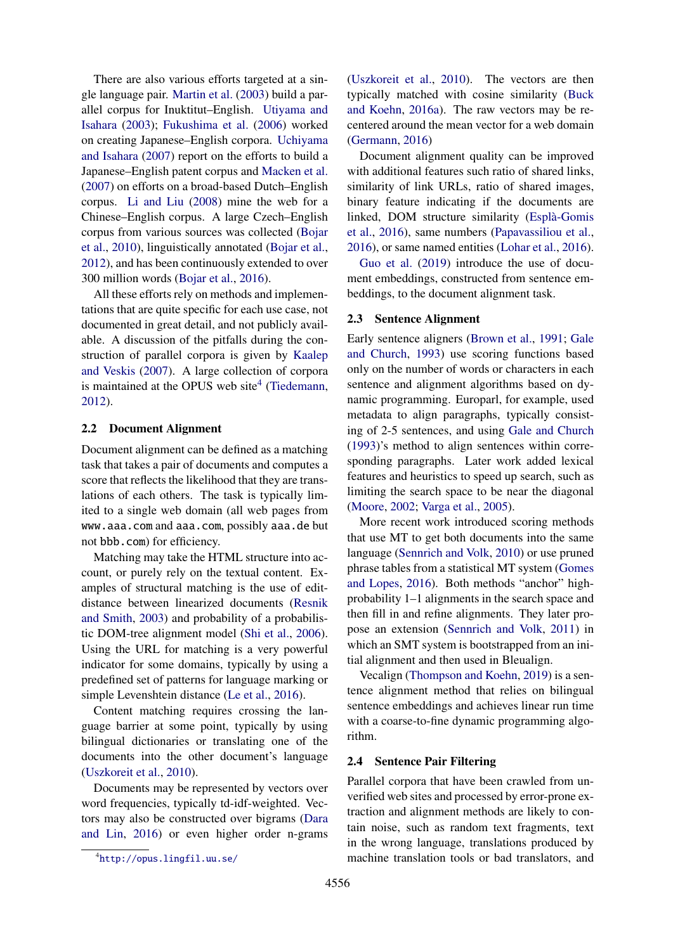There are also various efforts targeted at a single language pair. [Martin et al.](#page-10-6) [\(2003\)](#page-10-6) build a parallel corpus for Inuktitut–English. [Utiyama and](#page-11-2) [Isahara](#page-11-2) [\(2003\)](#page-11-2); [Fukushima et al.](#page-9-3) [\(2006\)](#page-9-3) worked on creating Japanese–English corpora. [Uchiyama](#page-10-7) [and Isahara](#page-10-7) [\(2007\)](#page-10-7) report on the efforts to build a Japanese–English patent corpus and [Macken et al.](#page-9-4) [\(2007\)](#page-9-4) on efforts on a broad-based Dutch–English corpus. [Li and Liu](#page-9-5) [\(2008\)](#page-9-5) mine the web for a Chinese–English corpus. A large Czech–English corpus from various sources was collected [\(Bojar](#page-8-2) [et al.,](#page-8-2) [2010\)](#page-8-2), linguistically annotated [\(Bojar et al.,](#page-8-3) [2012\)](#page-8-3), and has been continuously extended to over 300 million words [\(Bojar et al.,](#page-8-4) [2016\)](#page-8-4).

All these efforts rely on methods and implementations that are quite specific for each use case, not documented in great detail, and not publicly available. A discussion of the pitfalls during the construction of parallel corpora is given by [Kaalep](#page-9-6) [and Veskis](#page-9-6) [\(2007\)](#page-9-6). A large collection of corpora is maintained at the OPUS web site<sup>[4](#page-1-0)</sup> [\(Tiedemann,](#page-10-8) [2012\)](#page-10-8).

### 2.2 Document Alignment

Document alignment can be defined as a matching task that takes a pair of documents and computes a score that reflects the likelihood that they are translations of each others. The task is typically limited to a single web domain (all web pages from www.aaa.com and aaa.com, possibly aaa.de but not bbb.com) for efficiency.

Matching may take the HTML structure into account, or purely rely on the textual content. Examples of structural matching is the use of editdistance between linearized documents [\(Resnik](#page-10-9) [and Smith,](#page-10-9) [2003\)](#page-10-9) and probability of a probabilistic DOM-tree alignment model [\(Shi et al.,](#page-10-10) [2006\)](#page-10-10). Using the URL for matching is a very powerful indicator for some domains, typically by using a predefined set of patterns for language marking or simple Levenshtein distance [\(Le et al.,](#page-9-7) [2016\)](#page-9-7).

Content matching requires crossing the language barrier at some point, typically by using bilingual dictionaries or translating one of the documents into the other document's language [\(Uszkoreit et al.,](#page-10-1) [2010\)](#page-10-1).

Documents may be represented by vectors over word frequencies, typically td-idf-weighted. Vectors may also be constructed over bigrams [\(Dara](#page-8-5) [and Lin,](#page-8-5) [2016\)](#page-8-5) or even higher order n-grams

[\(Uszkoreit et al.,](#page-10-1) [2010\)](#page-10-1). The vectors are then typically matched with cosine similarity [\(Buck](#page-8-6) [and Koehn,](#page-8-6) [2016a\)](#page-8-6). The raw vectors may be recentered around the mean vector for a web domain [\(Germann,](#page-9-8) [2016\)](#page-9-8)

Document alignment quality can be improved with additional features such ratio of shared links, similarity of link URLs, ratio of shared images, binary feature indicating if the documents are linked, DOM structure similarity [\(Espla-Gomis](#page-8-7) ` [et al.,](#page-8-7) [2016\)](#page-8-7), same numbers [\(Papavassiliou et al.,](#page-10-11) [2016\)](#page-10-11), or same named entities [\(Lohar et al.,](#page-9-9) [2016\)](#page-9-9).

[Guo et al.](#page-9-10) [\(2019\)](#page-9-10) introduce the use of document embeddings, constructed from sentence embeddings, to the document alignment task.

#### 2.3 Sentence Alignment

Early sentence aligners [\(Brown et al.,](#page-8-8) [1991;](#page-8-8) [Gale](#page-9-11) [and Church,](#page-9-11) [1993\)](#page-9-11) use scoring functions based only on the number of words or characters in each sentence and alignment algorithms based on dynamic programming. Europarl, for example, used metadata to align paragraphs, typically consisting of 2-5 sentences, and using [Gale and Church](#page-9-11) [\(1993\)](#page-9-11)'s method to align sentences within corresponding paragraphs. Later work added lexical features and heuristics to speed up search, such as limiting the search space to be near the diagonal [\(Moore,](#page-10-12) [2002;](#page-10-12) [Varga et al.,](#page-11-3) [2005\)](#page-11-3).

More recent work introduced scoring methods that use MT to get both documents into the same language [\(Sennrich and Volk,](#page-10-13) [2010\)](#page-10-13) or use pruned phrase tables from a statistical MT system [\(Gomes](#page-9-12) [and Lopes,](#page-9-12) [2016\)](#page-9-12). Both methods "anchor" highprobability 1–1 alignments in the search space and then fill in and refine alignments. They later propose an extension [\(Sennrich and Volk,](#page-10-14) [2011\)](#page-10-14) in which an SMT system is bootstrapped from an initial alignment and then used in Bleualign.

Vecalign [\(Thompson and Koehn,](#page-10-15) [2019\)](#page-10-15) is a sentence alignment method that relies on bilingual sentence embeddings and achieves linear run time with a coarse-to-fine dynamic programming algorithm.

## 2.4 Sentence Pair Filtering

Parallel corpora that have been crawled from unverified web sites and processed by error-prone extraction and alignment methods are likely to contain noise, such as random text fragments, text in the wrong language, translations produced by machine translation tools or bad translators, and

<span id="page-1-0"></span><sup>4</sup> <http://opus.lingfil.uu.se/>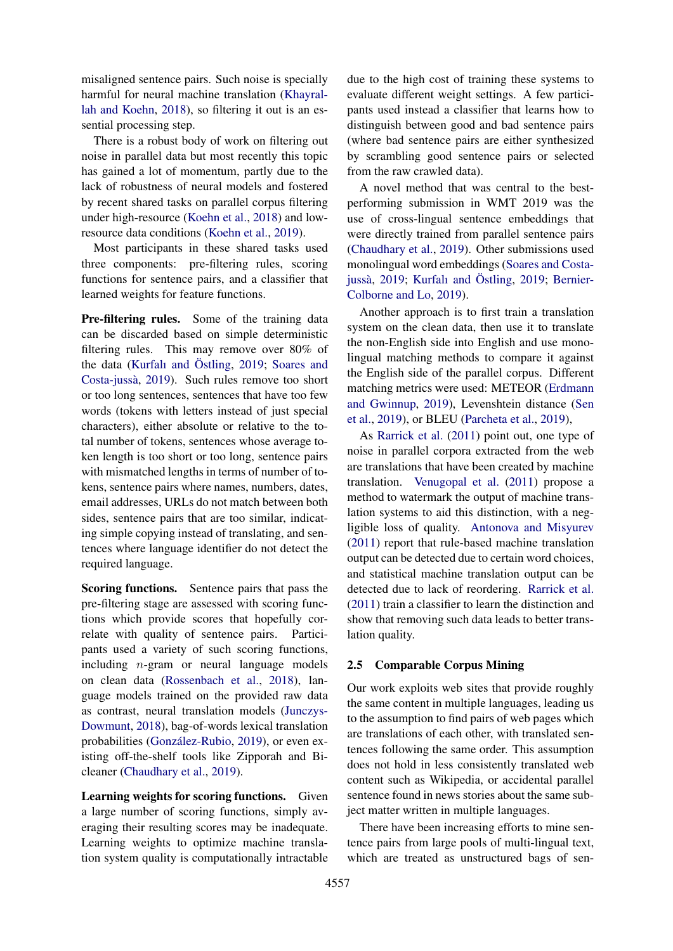misaligned sentence pairs. Such noise is specially harmful for neural machine translation [\(Khayral](#page-9-13)[lah and Koehn,](#page-9-13) [2018\)](#page-9-13), so filtering it out is an essential processing step.

There is a robust body of work on filtering out noise in parallel data but most recently this topic has gained a lot of momentum, partly due to the lack of robustness of neural models and fostered by recent shared tasks on parallel corpus filtering under high-resource [\(Koehn et al.,](#page-9-14) [2018\)](#page-9-14) and lowresource data conditions [\(Koehn et al.,](#page-9-15) [2019\)](#page-9-15).

Most participants in these shared tasks used three components: pre-filtering rules, scoring functions for sentence pairs, and a classifier that learned weights for feature functions.

Pre-filtering rules. Some of the training data can be discarded based on simple deterministic filtering rules. This may remove over 80% of the data [\(Kurfalı and](#page-9-16) Östling,  $2019$ ; [Soares and](#page-10-16) [Costa-jussa`,](#page-10-16) [2019\)](#page-10-16). Such rules remove too short or too long sentences, sentences that have too few words (tokens with letters instead of just special characters), either absolute or relative to the total number of tokens, sentences whose average token length is too short or too long, sentence pairs with mismatched lengths in terms of number of tokens, sentence pairs where names, numbers, dates, email addresses, URLs do not match between both sides, sentence pairs that are too similar, indicating simple copying instead of translating, and sentences where language identifier do not detect the required language.

Scoring functions. Sentence pairs that pass the pre-filtering stage are assessed with scoring functions which provide scores that hopefully correlate with quality of sentence pairs. Participants used a variety of such scoring functions, including n-gram or neural language models on clean data [\(Rossenbach et al.,](#page-10-17) [2018\)](#page-10-17), language models trained on the provided raw data as contrast, neural translation models [\(Junczys-](#page-9-17)[Dowmunt,](#page-9-17) [2018\)](#page-9-17), bag-of-words lexical translation probabilities (González-Rubio, [2019\)](#page-9-18), or even existing off-the-shelf tools like Zipporah and Bicleaner [\(Chaudhary et al.,](#page-8-9) [2019\)](#page-8-9).

Learning weights for scoring functions. Given a large number of scoring functions, simply averaging their resulting scores may be inadequate. Learning weights to optimize machine translation system quality is computationally intractable

due to the high cost of training these systems to evaluate different weight settings. A few participants used instead a classifier that learns how to distinguish between good and bad sentence pairs (where bad sentence pairs are either synthesized by scrambling good sentence pairs or selected from the raw crawled data).

A novel method that was central to the bestperforming submission in WMT 2019 was the use of cross-lingual sentence embeddings that were directly trained from parallel sentence pairs [\(Chaudhary et al.,](#page-8-9) [2019\)](#page-8-9). Other submissions used monolingual word embeddings [\(Soares and Costa-](#page-10-16)jussà, [2019;](#page-9-16) [Kurfalı and](#page-9-16) Östling, 2019; [Bernier-](#page-8-10)[Colborne and Lo,](#page-8-10) [2019\)](#page-8-10).

Another approach is to first train a translation system on the clean data, then use it to translate the non-English side into English and use monolingual matching methods to compare it against the English side of the parallel corpus. Different matching metrics were used: METEOR [\(Erdmann](#page-8-11) [and Gwinnup,](#page-8-11) [2019\)](#page-8-11), Levenshtein distance [\(Sen](#page-10-18) [et al.,](#page-10-18) [2019\)](#page-10-18), or BLEU [\(Parcheta et al.,](#page-10-19) [2019\)](#page-10-19),

As [Rarrick et al.](#page-10-2) [\(2011\)](#page-10-2) point out, one type of noise in parallel corpora extracted from the web are translations that have been created by machine translation. [Venugopal et al.](#page-11-4) [\(2011\)](#page-11-4) propose a method to watermark the output of machine translation systems to aid this distinction, with a negligible loss of quality. [Antonova and Misyurev](#page-8-12) [\(2011\)](#page-8-12) report that rule-based machine translation output can be detected due to certain word choices, and statistical machine translation output can be detected due to lack of reordering. [Rarrick et al.](#page-10-2) [\(2011\)](#page-10-2) train a classifier to learn the distinction and show that removing such data leads to better translation quality.

## 2.5 Comparable Corpus Mining

Our work exploits web sites that provide roughly the same content in multiple languages, leading us to the assumption to find pairs of web pages which are translations of each other, with translated sentences following the same order. This assumption does not hold in less consistently translated web content such as Wikipedia, or accidental parallel sentence found in news stories about the same subject matter written in multiple languages.

There have been increasing efforts to mine sentence pairs from large pools of multi-lingual text, which are treated as unstructured bags of sen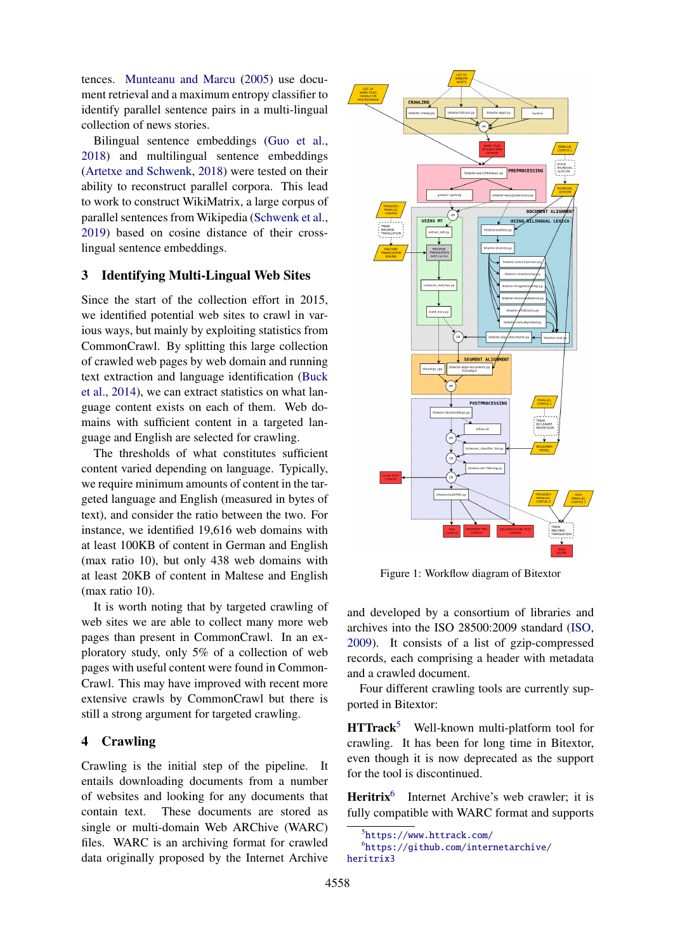tences. [Munteanu and Marcu](#page-10-20) [\(2005\)](#page-10-20) use document retrieval and a maximum entropy classifier to identify parallel sentence pairs in a multi-lingual collection of news stories.

Bilingual sentence embeddings [\(Guo et al.,](#page-9-19) [2018\)](#page-9-19) and multilingual sentence embeddings [\(Artetxe and Schwenk,](#page-8-13) [2018\)](#page-8-13) were tested on their ability to reconstruct parallel corpora. This lead to work to construct WikiMatrix, a large corpus of parallel sentences from Wikipedia [\(Schwenk et al.,](#page-10-21) [2019\)](#page-10-21) based on cosine distance of their crosslingual sentence embeddings.

# 3 Identifying Multi-Lingual Web Sites

Since the start of the collection effort in 2015, we identified potential web sites to crawl in various ways, but mainly by exploiting statistics from CommonCrawl. By splitting this large collection of crawled web pages by web domain and running text extraction and language identification [\(Buck](#page-8-14) [et al.,](#page-8-14) [2014\)](#page-8-14), we can extract statistics on what language content exists on each of them. Web domains with sufficient content in a targeted language and English are selected for crawling.

The thresholds of what constitutes sufficient content varied depending on language. Typically, we require minimum amounts of content in the targeted language and English (measured in bytes of text), and consider the ratio between the two. For instance, we identified 19,616 web domains with at least 100KB of content in German and English (max ratio 10), but only 438 web domains with at least 20KB of content in Maltese and English (max ratio 10).

It is worth noting that by targeted crawling of web sites we are able to collect many more web pages than present in CommonCrawl. In an exploratory study, only 5% of a collection of web pages with useful content were found in Common-Crawl. This may have improved with recent more extensive crawls by CommonCrawl but there is still a strong argument for targeted crawling.

## <span id="page-3-0"></span>4 Crawling

Crawling is the initial step of the pipeline. It entails downloading documents from a number of websites and looking for any documents that contain text. These documents are stored as single or multi-domain Web ARChive (WARC) files. WARC is an archiving format for crawled data originally proposed by the Internet Archive

<span id="page-3-3"></span>

Figure 1: Workflow diagram of Bitextor

and developed by a consortium of libraries and archives into the ISO 28500:2009 standard [\(ISO,](#page-9-20) [2009\)](#page-9-20). It consists of a list of gzip-compressed records, each comprising a header with metadata and a crawled document.

Four different crawling tools are currently supported in Bitextor:

 $\text{HTTrack}^5$  $\text{HTTrack}^5$  Well-known multi-platform tool for crawling. It has been for long time in Bitextor, even though it is now deprecated as the support for the tool is discontinued.

Heritrix<sup>[6](#page-3-2)</sup> Internet Archive's web crawler; it is fully compatible with WARC format and supports

<span id="page-3-2"></span><span id="page-3-1"></span><sup>5</sup> <https://www.httrack.com/>

<sup>6</sup> [https://github.com/internetarchive/](https://github.com/internetarchive/heritrix3) [heritrix3](https://github.com/internetarchive/heritrix3)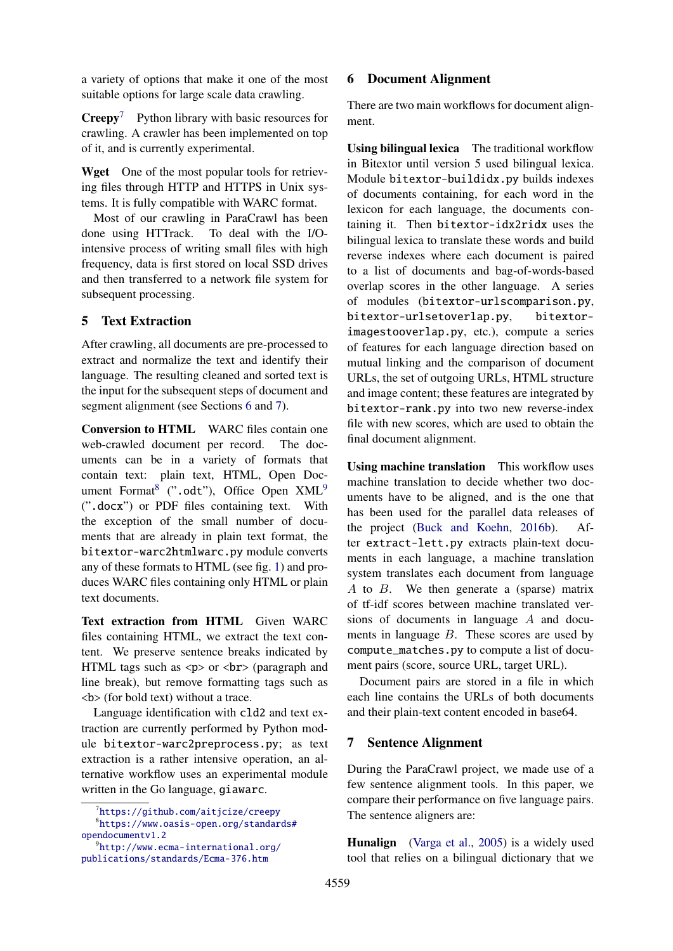a variety of options that make it one of the most suitable options for large scale data crawling.

 $Creepy<sup>7</sup>$  $Creepy<sup>7</sup>$  $Creepy<sup>7</sup>$  Python library with basic resources for crawling. A crawler has been implemented on top of it, and is currently experimental.

Wget One of the most popular tools for retrieving files through HTTP and HTTPS in Unix systems. It is fully compatible with WARC format.

Most of our crawling in ParaCrawl has been done using HTTrack. To deal with the I/Ointensive process of writing small files with high frequency, data is first stored on local SSD drives and then transferred to a network file system for subsequent processing.

# 5 Text Extraction

After crawling, all documents are pre-processed to extract and normalize the text and identify their language. The resulting cleaned and sorted text is the input for the subsequent steps of document and segment alignment (see Sections [6](#page-4-1) and [7\)](#page-4-2).

Conversion to HTML WARC files contain one web-crawled document per record. The documents can be in a variety of formats that contain text: plain text, HTML, Open Doc-ument Format<sup>[8](#page-4-3)</sup> (".odt"), Office Open  $XML<sup>9</sup>$  $XML<sup>9</sup>$  $XML<sup>9</sup>$ (".docx") or PDF files containing text. With the exception of the small number of documents that are already in plain text format, the bitextor-warc2htmlwarc.py module converts any of these formats to HTML (see fig. [1\)](#page-3-3) and produces WARC files containing only HTML or plain text documents.

Text extraction from HTML Given WARC files containing HTML, we extract the text content. We preserve sentence breaks indicated by HTML tags such as  $\langle p \rangle$  or  $\langle br \rangle$  (paragraph and line break), but remove formatting tags such as <b> (for bold text) without a trace.

Language identification with cld2 and text extraction are currently performed by Python module bitextor-warc2preprocess.py; as text extraction is a rather intensive operation, an alternative workflow uses an experimental module written in the Go language, giawarc.

## <span id="page-4-1"></span>6 Document Alignment

There are two main workflows for document alignment.

Using bilingual lexica The traditional workflow in Bitextor until version 5 used bilingual lexica. Module bitextor-buildidx.py builds indexes of documents containing, for each word in the lexicon for each language, the documents containing it. Then bitextor-idx2ridx uses the bilingual lexica to translate these words and build reverse indexes where each document is paired to a list of documents and bag-of-words-based overlap scores in the other language. A series of modules (bitextor-urlscomparison.py, bitextor-urlsetoverlap.py, bitextorimagestooverlap.py, etc.), compute a series of features for each language direction based on mutual linking and the comparison of document URLs, the set of outgoing URLs, HTML structure and image content; these features are integrated by bitextor-rank.py into two new reverse-index file with new scores, which are used to obtain the final document alignment.

Using machine translation This workflow uses machine translation to decide whether two documents have to be aligned, and is the one that has been used for the parallel data releases of the project [\(Buck and Koehn,](#page-8-15) [2016b\)](#page-8-15). After extract-lett.py extracts plain-text documents in each language, a machine translation system translates each document from language A to B. We then generate a (sparse) matrix of tf-idf scores between machine translated versions of documents in language A and documents in language  $B$ . These scores are used by compute\_matches.py to compute a list of document pairs (score, source URL, target URL).

Document pairs are stored in a file in which each line contains the URLs of both documents and their plain-text content encoded in base64.

## <span id="page-4-2"></span>7 Sentence Alignment

During the ParaCrawl project, we made use of a few sentence alignment tools. In this paper, we compare their performance on five language pairs. The sentence aligners are:

Hunalign [\(Varga et al.,](#page-11-3) [2005\)](#page-11-3) is a widely used tool that relies on a bilingual dictionary that we

<span id="page-4-3"></span><span id="page-4-0"></span><sup>7</sup> <https://github.com/aitjcize/creepy>

<sup>8</sup> [https://www.oasis-open.org/standards#](https://www.oasis-open.org/standards#opendocumentv1.2) [opendocumentv1.2](https://www.oasis-open.org/standards#opendocumentv1.2)

<span id="page-4-4"></span> $^{9}$ [http://www.ecma-international.org/](http://www.ecma-international.org/publications/standards/Ecma-376.htm) [publications/standards/Ecma-376.htm](http://www.ecma-international.org/publications/standards/Ecma-376.htm)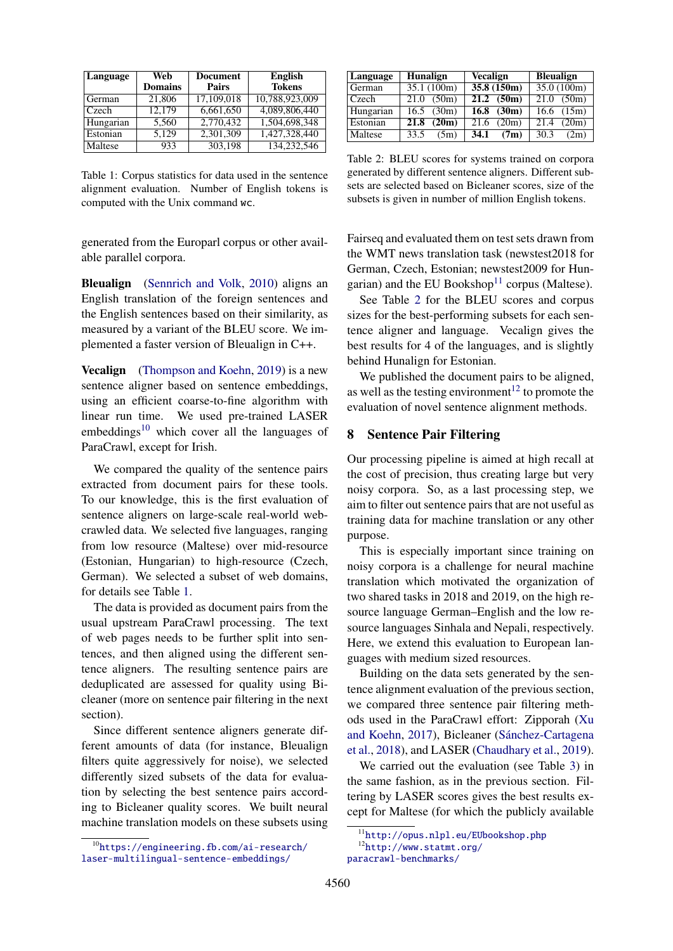<span id="page-5-2"></span>

| Language  | Web            | <b>Document</b> | <b>English</b> |
|-----------|----------------|-----------------|----------------|
|           | <b>Domains</b> | <b>Pairs</b>    | <b>Tokens</b>  |
| German    | 21,806         | 17,109,018      | 10,788,923,009 |
| Czech     | 12.179         | 6,661,650       | 4,089,806,440  |
| Hungarian | 5,560          | 2,770,432       | 1,504,698,348  |
| Estonian  | 5,129          | 2,301,309       | 1,427,328,440  |
| Maltese   | 933            | 303.198         | 134,232,546    |

Table 1: Corpus statistics for data used in the sentence alignment evaluation. Number of English tokens is computed with the Unix command wc.

generated from the Europarl corpus or other available parallel corpora.

Bleualign [\(Sennrich and Volk,](#page-10-13) [2010\)](#page-10-13) aligns an English translation of the foreign sentences and the English sentences based on their similarity, as measured by a variant of the BLEU score. We implemented a faster version of Bleualign in C++.

**Vecalign** [\(Thompson and Koehn,](#page-10-15) [2019\)](#page-10-15) is a new sentence aligner based on sentence embeddings, using an efficient coarse-to-fine algorithm with linear run time. We used pre-trained LASER embeddings $10$  which cover all the languages of ParaCrawl, except for Irish.

We compared the quality of the sentence pairs extracted from document pairs for these tools. To our knowledge, this is the first evaluation of sentence aligners on large-scale real-world webcrawled data. We selected five languages, ranging from low resource (Maltese) over mid-resource (Estonian, Hungarian) to high-resource (Czech, German). We selected a subset of web domains, for details see Table [1.](#page-5-2)

The data is provided as document pairs from the usual upstream ParaCrawl processing. The text of web pages needs to be further split into sentences, and then aligned using the different sentence aligners. The resulting sentence pairs are deduplicated are assessed for quality using Bicleaner (more on sentence pair filtering in the next section).

Since different sentence aligners generate different amounts of data (for instance, Bleualign filters quite aggressively for noise), we selected differently sized subsets of the data for evaluation by selecting the best sentence pairs according to Bicleaner quality scores. We built neural machine translation models on these subsets using

<span id="page-5-4"></span>

| Language  | <b>Hunalign</b> | Vecalign                | <b>Bleualign</b> |  |
|-----------|-----------------|-------------------------|------------------|--|
| German    | 35.1(100m)      | 35.8(150m)              | 35.0(100m)       |  |
| Czech     | 21.0<br>(50m)   | $\overline{21.2}$ (50m) | 21.0<br>(50m)    |  |
| Hungarian | (30m)<br>16.5   | $\overline{16.8}$ (30m) | 16.6<br>(15m)    |  |
| Estonian  | 21.8<br>(20m)   | 21.6<br>(20m)           | 21.4<br>(20m)    |  |
| Maltese   | 33.5<br>(5m)    | 34.1<br>(7m)            | 30.3<br>(2m)     |  |

Table 2: BLEU scores for systems trained on corpora generated by different sentence aligners. Different subsets are selected based on Bicleaner scores, size of the subsets is given in number of million English tokens.

Fairseq and evaluated them on test sets drawn from the WMT news translation task (newstest2018 for German, Czech, Estonian; newstest2009 for Hun-garian) and the EU Bookshop<sup>[11](#page-5-3)</sup> corpus (Maltese).

See Table [2](#page-5-4) for the BLEU scores and corpus sizes for the best-performing subsets for each sentence aligner and language. Vecalign gives the best results for 4 of the languages, and is slightly behind Hunalign for Estonian.

We published the document pairs to be aligned, as well as the testing environment<sup>[12](#page-5-5)</sup> to promote the evaluation of novel sentence alignment methods.

## <span id="page-5-0"></span>8 Sentence Pair Filtering

Our processing pipeline is aimed at high recall at the cost of precision, thus creating large but very noisy corpora. So, as a last processing step, we aim to filter out sentence pairs that are not useful as training data for machine translation or any other purpose.

This is especially important since training on noisy corpora is a challenge for neural machine translation which motivated the organization of two shared tasks in 2018 and 2019, on the high resource language German–English and the low resource languages Sinhala and Nepali, respectively. Here, we extend this evaluation to European languages with medium sized resources.

Building on the data sets generated by the sentence alignment evaluation of the previous section, we compared three sentence pair filtering methods used in the ParaCrawl effort: Zipporah [\(Xu](#page-11-5) [and Koehn,](#page-11-5) [2017\)](#page-11-5), Bicleaner (Sánchez-Cartagena [et al.,](#page-10-22) [2018\)](#page-10-22), and LASER [\(Chaudhary et al.,](#page-8-9) [2019\)](#page-8-9).

We carried out the evaluation (see Table [3\)](#page-6-0) in the same fashion, as in the previous section. Filtering by LASER scores gives the best results except for Maltese (for which the publicly available

<span id="page-5-1"></span><sup>10</sup>[https://engineering.fb.com/ai-research/](https://engineering.fb.com/ai-research/laser-multilingual-sentence-embeddings/) [laser-multilingual-sentence-embeddings/](https://engineering.fb.com/ai-research/laser-multilingual-sentence-embeddings/)

<span id="page-5-5"></span><span id="page-5-3"></span><sup>11</sup><http://opus.nlpl.eu/EUbookshop.php> <sup>12</sup>[http://www.statmt.org/](http://www.statmt.org/paracrawl-benchmarks/)

[paracrawl-benchmarks/](http://www.statmt.org/paracrawl-benchmarks/)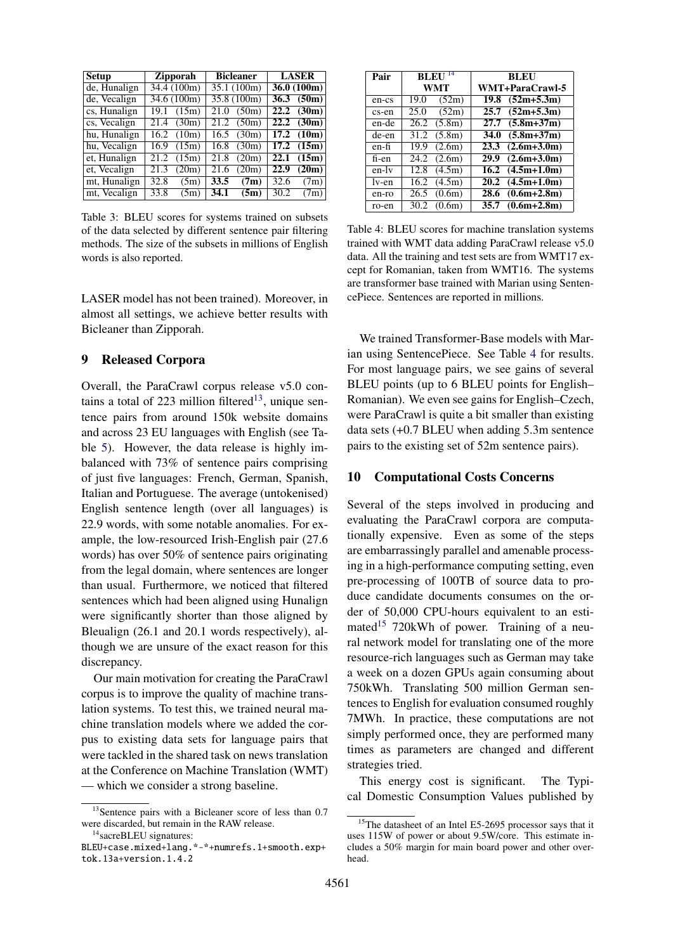<span id="page-6-0"></span>

| <b>Setup</b>                            | <b>Zipporah</b> | <b>Bicleaner</b> | <b>LASER</b>  |  |  |
|-----------------------------------------|-----------------|------------------|---------------|--|--|
| de, Hunalign                            | 34.4 (100m)     | 35.1 (100m)      | 36.0(100m)    |  |  |
| de, Vecalign                            | 34.6 (100m)     | 35.8 (100m)      | (50m)<br>36.3 |  |  |
| $\overline{\text{cs}, \text{Hunalign}}$ | (15m)           | 21.0             | 22.2          |  |  |
|                                         | 19.1            | (50m)            | (30m)         |  |  |
| cs, Vecalign                            | (30m)           | 21.2             | 22.2          |  |  |
|                                         | 21.4            | (50m)            | (30m)         |  |  |
| hu, Hunalign                            | 16.2            | (30m)            | 17.2          |  |  |
|                                         | (10m)           | 16.5             | (10m)         |  |  |
| hu, Vecalign                            | 16.9            | 16.8             | (15m)         |  |  |
|                                         | (15m)           | (30m)            | 17.2          |  |  |
| et, Hunalign                            | (15m)           | 21.8             | (15m)         |  |  |
|                                         | 21.2            | (20m)            | 22.1          |  |  |
| et, Vecalign                            | 21.3            | 21.6             | 22.9          |  |  |
|                                         | (20m)           | (20m)            | (20m)         |  |  |
| mt, Hunalign                            | 32.8            | 33.5             | 32.6          |  |  |
|                                         | (5m)            | (7m)             | (7m)          |  |  |
| mt, Vecalign                            | 33.8            | 34.1             | 30.2          |  |  |
|                                         | (5m)            | (5m)             | (7m)          |  |  |

Table 3: BLEU scores for systems trained on subsets of the data selected by different sentence pair filtering methods. The size of the subsets in millions of English words is also reported.

LASER model has not been trained). Moreover, in almost all settings, we achieve better results with Bicleaner than Zipporah.

## 9 Released Corpora

Overall, the ParaCrawl corpus release v5.0 con-tains a total of 223 million filtered<sup>[13](#page-6-1)</sup>, unique sentence pairs from around 150k website domains and across 23 EU languages with English (see Table [5\)](#page-7-0). However, the data release is highly imbalanced with 73% of sentence pairs comprising of just five languages: French, German, Spanish, Italian and Portuguese. The average (untokenised) English sentence length (over all languages) is 22.9 words, with some notable anomalies. For example, the low-resourced Irish-English pair (27.6 words) has over 50% of sentence pairs originating from the legal domain, where sentences are longer than usual. Furthermore, we noticed that filtered sentences which had been aligned using Hunalign were significantly shorter than those aligned by Bleualign (26.1 and 20.1 words respectively), although we are unsure of the exact reason for this discrepancy.

Our main motivation for creating the ParaCrawl corpus is to improve the quality of machine translation systems. To test this, we trained neural machine translation models where we added the corpus to existing data sets for language pairs that were tackled in the shared task on news translation at the Conference on Machine Translation (WMT) — which we consider a strong baseline.

<span id="page-6-3"></span>

| Pair  | <b>BLEU</b>     | <b>BLEU</b>            |
|-------|-----------------|------------------------|
|       | WMT             | WMT+ParaCrawl-5        |
| en-cs | 19.0<br>(52m)   | $(52m+5.3m)$<br>19.8   |
| cs-en | (52m)<br>25.0   | $(52m+5.3m)$<br>25.7   |
| en-de | (5.8m)<br>26.2  | $(5.8m + 37m)$<br>27.7 |
| de-en | 31.2<br>(5.8m)  | $(5.8m+37m)$<br>34.0   |
| en-fi | (2.6m)<br>19.9  | $(2.6m+3.0m)$<br>23.3  |
| fi-en | $24.2$ $(2.6m)$ | $(2.6m+3.0m)$<br>29.9  |
| en-ly | (4.5m)<br>12.8  | $16.2$ $(4.5m+1.0m)$   |
| lv-en | (4.5m)<br>16.2  | $20.2$ $(4.5m+1.0m)$   |
| en-ro | (0.6m)<br>26.5  | $(0.6m+2.8m)$<br>28.6  |
| ro-en | (0.6m)<br>30.2  | $(0.6m+2.8m)$<br>35.7  |

Table 4: BLEU scores for machine translation systems trained with WMT data adding ParaCrawl release v5.0 data. All the training and test sets are from WMT17 except for Romanian, taken from WMT16. The systems are transformer base trained with Marian using SentencePiece. Sentences are reported in millions.

We trained Transformer-Base models with Marian using SentencePiece. See Table [4](#page-6-3) for results. For most language pairs, we see gains of several BLEU points (up to 6 BLEU points for English– Romanian). We even see gains for English–Czech, were ParaCrawl is quite a bit smaller than existing data sets (+0.7 BLEU when adding 5.3m sentence pairs to the existing set of 52m sentence pairs).

#### 10 Computational Costs Concerns

Several of the steps involved in producing and evaluating the ParaCrawl corpora are computationally expensive. Even as some of the steps are embarrassingly parallel and amenable processing in a high-performance computing setting, even pre-processing of 100TB of source data to produce candidate documents consumes on the order of 50,000 CPU-hours equivalent to an esti-mated<sup>[15](#page-6-4)</sup> 720kWh of power. Training of a neural network model for translating one of the more resource-rich languages such as German may take a week on a dozen GPUs again consuming about 750kWh. Translating 500 million German sentences to English for evaluation consumed roughly 7MWh. In practice, these computations are not simply performed once, they are performed many times as parameters are changed and different strategies tried.

This energy cost is significant. The Typical Domestic Consumption Values published by

<span id="page-6-1"></span><sup>&</sup>lt;sup>13</sup>Sentence pairs with a Bicleaner score of less than 0.7 were discarded, but remain in the RAW release. <sup>14</sup>sacreBLEU signatures:

<span id="page-6-2"></span>BLEU+case.mixed+lang.\*-\*+numrefs.1+smooth.exp+ tok.13a+version.1.4.2

<span id="page-6-4"></span><sup>&</sup>lt;sup>15</sup>The datasheet of an Intel E5-2695 processor says that it uses 115W of power or about 9.5W/core. This estimate includes a 50% margin for main board power and other overhead.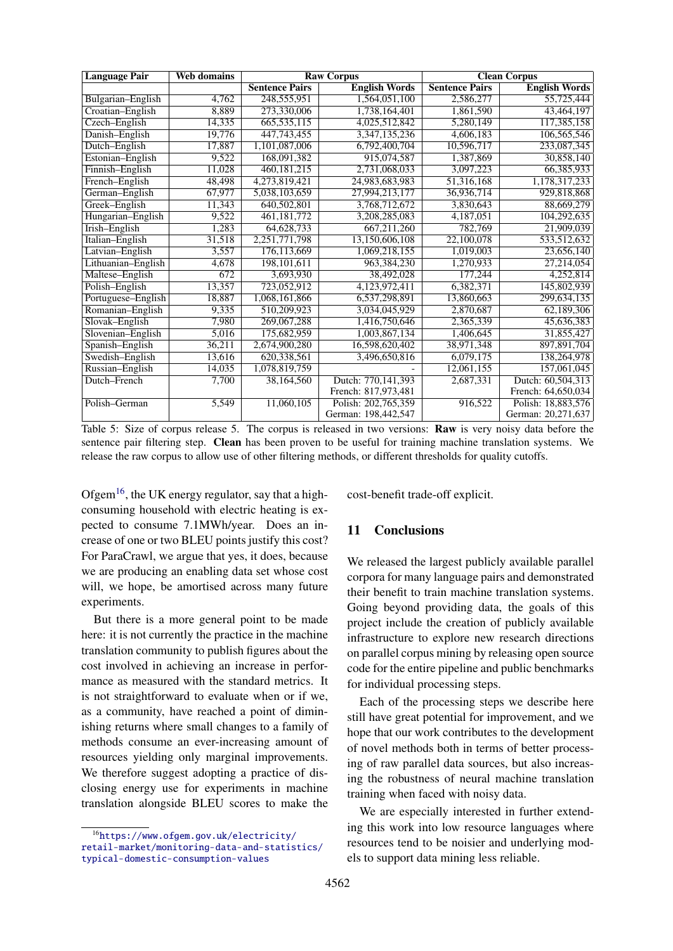<span id="page-7-0"></span>

| <b>Language Pair</b> | <b>Web domains</b> |                                               | <b>Raw Corpus</b>   | <b>Clean Corpus</b>   |                      |  |  |
|----------------------|--------------------|-----------------------------------------------|---------------------|-----------------------|----------------------|--|--|
|                      |                    | <b>Sentence Pairs</b><br><b>English Words</b> |                     | <b>Sentence Pairs</b> | <b>English Words</b> |  |  |
| Bulgarian-English    | 4,762              | 248,555,951                                   | 1,564,051,100       | 2,586,277             | 55,725,444           |  |  |
| Croatian-English     | 8,889              | 273,330,006                                   | 1,738,164,401       | 1,861,590             | 43,464,197           |  |  |
| Czech-English        | 14,335             | 665,535,115                                   | 4,025,512,842       | 5,280,149             | 117,385,158          |  |  |
| Danish-English       | 19,776             | 447,743,455                                   | 3,347,135,236       | 4,606,183             | 106,565,546          |  |  |
| Dutch-English        | 17,887             | 1,101,087,006                                 | 6,792,400,704       | 10,596,717            | 233,087,345          |  |  |
| Estonian-English     | 9,522              | 168,091,382                                   | 915,074,587         | 1,387,869             | 30,858,140           |  |  |
| Finnish-English      | 11,028             | 460, 181, 215                                 | 2,731,068,033       | 3,097,223             | 66,385,933           |  |  |
| French-English       | 48,498             | 4,273,819,421                                 | 24,983,683,983      | 51,316,168            | 1,178,317,233        |  |  |
| German-English       | 67,977             | 5,038,103,659                                 | 27,994,213,177      | 36,936,714            | 929,818,868          |  |  |
| Greek-English        | 11,343             | 640,502,801                                   | 3,768,712,672       | 3,830,643             | 88,669,279           |  |  |
| Hungarian-English    | 9,522              | 461,181,772                                   | 3,208,285,083       | 4,187,051             | 104,292,635          |  |  |
| Irish-English        | 1,283              | 64,628,733                                    | 667,211,260         | 782,769               | 21,909,039           |  |  |
| Italian-English      | 31,518             | 2,251,771,798                                 | 13,150,606,108      | 22,100,078            | 533,512,632          |  |  |
| Latvian-English      | 3,557              | 176,113,669                                   | 1,069,218,155       | 1,019,003             | 23,656,140           |  |  |
| Lithuanian-English   | 4,678              | 198, 101, 611                                 | 963, 384, 230       | 1,270,933             | 27,214,054           |  |  |
| Maltese-English      | 672                | 3,693,930                                     | 38,492,028          | 177,244               | 4,252,814            |  |  |
| Polish-English       | 13,357             | 723,052,912                                   | 4,123,972,411       | 6,382,371             | 145,802,939          |  |  |
| Portuguese-English   | 18,887             | 1,068,161,866                                 | 6,537,298,891       | 13,860,663            | 299,634,135          |  |  |
| Romanian-English     | 9,335              | 510,209,923                                   | 3,034,045,929       | 2,870,687             | 62,189,306           |  |  |
| Slovak-English       | 7,980              | 269,067,288                                   | 1,416,750,646       | 2,365,339             | 45,636,383           |  |  |
| Slovenian-English    | 5,016              | 175,682,959                                   | 1,003,867,134       | 1,406,645             | 31,855,427           |  |  |
| Spanish-English      | 36,211             | 2,674,900,280                                 | 16,598,620,402      | 38,971,348            | 897,891,704          |  |  |
| Swedish-English      | 13,616             | 620,338,561                                   | 3,496,650,816       | 6,079,175             | 138,264,978          |  |  |
| Russian-English      | 14,035             | 1,078,819,759                                 |                     | 12,061,155            | 157,061,045          |  |  |
| Dutch-French         | 7.700              | 38.164.560                                    | Dutch: 770,141,393  | 2,687,331             | Dutch: 60.504.313    |  |  |
|                      |                    |                                               | French: 817,973,481 |                       | French: 64,650,034   |  |  |
| Polish-German        | 5,549              | 11,060,105                                    | Polish: 202,765,359 | 916,522               | Polish: 18,883,576   |  |  |
|                      |                    |                                               | German: 198,442,547 |                       | German: 20,271,637   |  |  |

Table 5: Size of corpus release 5. The corpus is released in two versions: **Raw** is very noisy data before the sentence pair filtering step. Clean has been proven to be useful for training machine translation systems. We release the raw corpus to allow use of other filtering methods, or different thresholds for quality cutoffs.

Ofgem<sup>[16](#page-7-1)</sup>, the UK energy regulator, say that a highconsuming household with electric heating is expected to consume 7.1MWh/year. Does an increase of one or two BLEU points justify this cost? For ParaCrawl, we argue that yes, it does, because we are producing an enabling data set whose cost will, we hope, be amortised across many future experiments.

But there is a more general point to be made here: it is not currently the practice in the machine translation community to publish figures about the cost involved in achieving an increase in performance as measured with the standard metrics. It is not straightforward to evaluate when or if we, as a community, have reached a point of diminishing returns where small changes to a family of methods consume an ever-increasing amount of resources yielding only marginal improvements. We therefore suggest adopting a practice of disclosing energy use for experiments in machine translation alongside BLEU scores to make the cost-benefit trade-off explicit.

## 11 Conclusions

We released the largest publicly available parallel corpora for many language pairs and demonstrated their benefit to train machine translation systems. Going beyond providing data, the goals of this project include the creation of publicly available infrastructure to explore new research directions on parallel corpus mining by releasing open source code for the entire pipeline and public benchmarks for individual processing steps.

Each of the processing steps we describe here still have great potential for improvement, and we hope that our work contributes to the development of novel methods both in terms of better processing of raw parallel data sources, but also increasing the robustness of neural machine translation training when faced with noisy data.

We are especially interested in further extending this work into low resource languages where resources tend to be noisier and underlying models to support data mining less reliable.

<span id="page-7-1"></span><sup>16</sup>[https://www.ofgem.gov.uk/electricity/](https://www.ofgem.gov.uk/electricity/retail-market/monitoring-data-and-statistics/typical-domestic-consumption-values) [retail-market/monitoring-data-and-statistics/](https://www.ofgem.gov.uk/electricity/retail-market/monitoring-data-and-statistics/typical-domestic-consumption-values) [typical-domestic-consumption-values](https://www.ofgem.gov.uk/electricity/retail-market/monitoring-data-and-statistics/typical-domestic-consumption-values)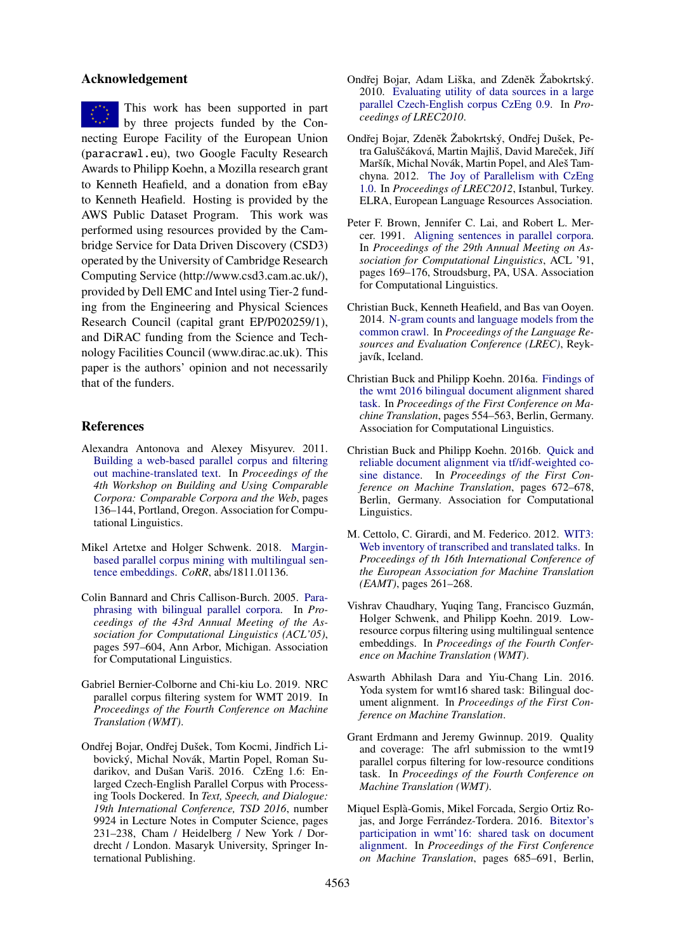## Acknowledgement

This work has been supported in part by three projects funded by the Connecting Europe Facility of the European Union (paracrawl.eu), two Google Faculty Research Awards to Philipp Koehn, a Mozilla research grant to Kenneth Heafield, and a donation from eBay to Kenneth Heafield. Hosting is provided by the AWS Public Dataset Program. This work was performed using resources provided by the Cambridge Service for Data Driven Discovery (CSD3) operated by the University of Cambridge Research Computing Service (http://www.csd3.cam.ac.uk/), provided by Dell EMC and Intel using Tier-2 funding from the Engineering and Physical Sciences Research Council (capital grant EP/P020259/1), and DiRAC funding from the Science and Technology Facilities Council (www.dirac.ac.uk). This paper is the authors' opinion and not necessarily that of the funders.

## References

- <span id="page-8-12"></span>Alexandra Antonova and Alexey Misyurev. 2011. [Building a web-based parallel corpus and filtering](http://www.aclweb.org/anthology/W11-1218) [out machine-translated text.](http://www.aclweb.org/anthology/W11-1218) In *Proceedings of the 4th Workshop on Building and Using Comparable Corpora: Comparable Corpora and the Web*, pages 136–144, Portland, Oregon. Association for Computational Linguistics.
- <span id="page-8-13"></span>Mikel Artetxe and Holger Schwenk. 2018. [Margin](http://arxiv.org/abs/1811.01136)[based parallel corpus mining with multilingual sen](http://arxiv.org/abs/1811.01136)[tence embeddings.](http://arxiv.org/abs/1811.01136) *CoRR*, abs/1811.01136.
- <span id="page-8-0"></span>Colin Bannard and Chris Callison-Burch. 2005. [Para](https://doi.org/10.3115/1219840.1219914)[phrasing with bilingual parallel corpora.](https://doi.org/10.3115/1219840.1219914) In *Proceedings of the 43rd Annual Meeting of the Association for Computational Linguistics (ACL'05)*, pages 597–604, Ann Arbor, Michigan. Association for Computational Linguistics.
- <span id="page-8-10"></span>Gabriel Bernier-Colborne and Chi-kiu Lo. 2019. NRC parallel corpus filtering system for WMT 2019. In *Proceedings of the Fourth Conference on Machine Translation (WMT)*.
- <span id="page-8-4"></span>Ondřej Bojar, Ondřej Dušek, Tom Kocmi, Jindřich Libovický, Michal Novák, Martin Popel, Roman Sudarikov, and Dušan Variš. 2016. CzEng 1.6: Enlarged Czech-English Parallel Corpus with Processing Tools Dockered. In *Text, Speech, and Dialogue: 19th International Conference, TSD 2016*, number 9924 in Lecture Notes in Computer Science, pages 231–238, Cham / Heidelberg / New York / Dordrecht / London. Masaryk University, Springer International Publishing.
- <span id="page-8-2"></span>Ondřej Bojar, Adam Liška, and Zdeněk Žabokrtský. 2010. [Evaluating utility of data sources in a large](http://www.lrec-conf.org/proceedings/lrec2010/pdf/642_Paper.pdf) [parallel Czech-English corpus CzEng 0.9.](http://www.lrec-conf.org/proceedings/lrec2010/pdf/642_Paper.pdf) In *Proceedings of LREC2010*.
- <span id="page-8-3"></span>Ondřej Bojar, Zdeněk Žabokrtský, Ondřej Dušek, Petra Galuščáková, Martin Majliš, David Mareček, Jiří Maršík, Michal Novák, Martin Popel, and Aleš Tamchyna. 2012. [The Joy of Parallelism with CzEng](http://www.mt-archive.info/LREC-2012-Bojar.pdf) [1.0.](http://www.mt-archive.info/LREC-2012-Bojar.pdf) In *Proceedings of LREC2012*, Istanbul, Turkey. ELRA, European Language Resources Association.
- <span id="page-8-8"></span>Peter F. Brown, Jennifer C. Lai, and Robert L. Mercer. 1991. [Aligning sentences in parallel corpora.](https://doi.org/10.3115/981344.981366) In *Proceedings of the 29th Annual Meeting on Association for Computational Linguistics*, ACL '91, pages 169–176, Stroudsburg, PA, USA. Association for Computational Linguistics.
- <span id="page-8-14"></span>Christian Buck, Kenneth Heafield, and Bas van Ooyen. 2014. [N-gram counts and language models from the](https://kheafield.com/papers/stanford/crawl_paper.pdf) [common crawl.](https://kheafield.com/papers/stanford/crawl_paper.pdf) In *Proceedings of the Language Resources and Evaluation Conference (LREC)*, Reykjavík, Iceland.
- <span id="page-8-6"></span>Christian Buck and Philipp Koehn. 2016a. [Findings of](http://www.aclweb.org/anthology/W/W16/W16-2347) [the wmt 2016 bilingual document alignment shared](http://www.aclweb.org/anthology/W/W16/W16-2347) [task.](http://www.aclweb.org/anthology/W/W16/W16-2347) In *Proceedings of the First Conference on Machine Translation*, pages 554–563, Berlin, Germany. Association for Computational Linguistics.
- <span id="page-8-15"></span>Christian Buck and Philipp Koehn. 2016b. [Quick and](http://www.aclweb.org/anthology/W/W16/W16-2365) [reliable document alignment via tf/idf-weighted co](http://www.aclweb.org/anthology/W/W16/W16-2365)[sine distance.](http://www.aclweb.org/anthology/W/W16/W16-2365) In *Proceedings of the First Conference on Machine Translation*, pages 672–678, Berlin, Germany. Association for Computational Linguistics.
- <span id="page-8-1"></span>M. Cettolo, C. Girardi, and M. Federico. 2012. [WIT3:](http://www.mt-archive.info/EAMT-2012-Cettolo) [Web inventory of transcribed and translated talks.](http://www.mt-archive.info/EAMT-2012-Cettolo) In *Proceedings of th 16th International Conference of the European Association for Machine Translation (EAMT)*, pages 261–268.
- <span id="page-8-9"></span>Vishrav Chaudhary, Yuqing Tang, Francisco Guzmán, Holger Schwenk, and Philipp Koehn. 2019. Lowresource corpus filtering using multilingual sentence embeddings. In *Proceedings of the Fourth Conference on Machine Translation (WMT)*.
- <span id="page-8-5"></span>Aswarth Abhilash Dara and Yiu-Chang Lin. 2016. Yoda system for wmt16 shared task: Bilingual document alignment. In *Proceedings of the First Conference on Machine Translation*.
- <span id="page-8-11"></span>Grant Erdmann and Jeremy Gwinnup. 2019. Quality and coverage: The afrl submission to the wmt19 parallel corpus filtering for low-resource conditions task. In *Proceedings of the Fourth Conference on Machine Translation (WMT)*.
- <span id="page-8-7"></span>Miquel Espla-Gomis, Mikel Forcada, Sergio Ortiz Ro- ` jas, and Jorge Ferrández-Tordera. 2016. [Bitextor's](http://www.aclweb.org/anthology/W/W16/W16-2367) [participation in wmt'16: shared task on document](http://www.aclweb.org/anthology/W/W16/W16-2367) [alignment.](http://www.aclweb.org/anthology/W/W16/W16-2367) In *Proceedings of the First Conference on Machine Translation*, pages 685–691, Berlin,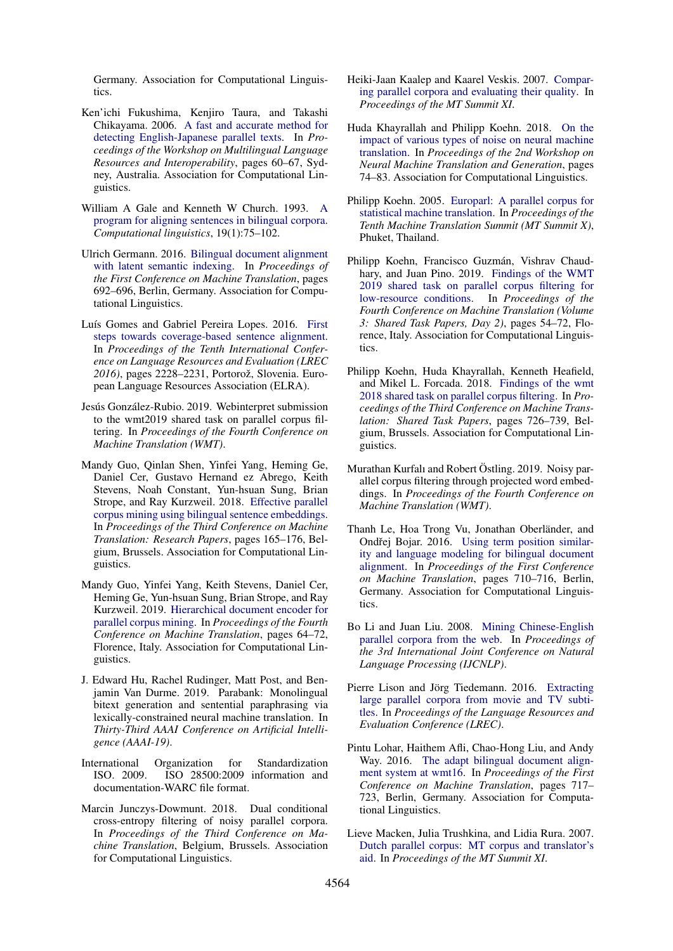Germany. Association for Computational Linguistics.

- <span id="page-9-3"></span>Ken'ichi Fukushima, Kenjiro Taura, and Takashi Chikayama. 2006. [A fast and accurate method for](http://www.aclweb.org/anthology/W/W06/W06-1008) [detecting English-Japanese parallel texts.](http://www.aclweb.org/anthology/W/W06/W06-1008) In *Proceedings of the Workshop on Multilingual Language Resources and Interoperability*, pages 60–67, Sydney, Australia. Association for Computational Linguistics.
- <span id="page-9-11"></span>William A Gale and Kenneth W Church. 1993. [A](https://www.aclweb.org/anthology/J93-1004) [program for aligning sentences in bilingual corpora.](https://www.aclweb.org/anthology/J93-1004) *Computational linguistics*, 19(1):75–102.
- <span id="page-9-8"></span>Ulrich Germann. 2016. [Bilingual document alignment](http://www.aclweb.org/anthology/W/W16/W16-2368) [with latent semantic indexing.](http://www.aclweb.org/anthology/W/W16/W16-2368) In *Proceedings of the First Conference on Machine Translation*, pages 692–696, Berlin, Germany. Association for Computational Linguistics.
- <span id="page-9-12"></span>Luís Gomes and Gabriel Pereira Lopes. 2016. [First](https://www.aclweb.org/anthology/L16-1354) [steps towards coverage-based sentence alignment.](https://www.aclweb.org/anthology/L16-1354) In *Proceedings of the Tenth International Conference on Language Resources and Evaluation (LREC* 2016), pages 2228–2231, Portorož, Slovenia. European Language Resources Association (ELRA).
- <span id="page-9-18"></span>Jesús González-Rubio. 2019. Webinterpret submission to the wmt2019 shared task on parallel corpus filtering. In *Proceedings of the Fourth Conference on Machine Translation (WMT)*.
- <span id="page-9-19"></span>Mandy Guo, Qinlan Shen, Yinfei Yang, Heming Ge, Daniel Cer, Gustavo Hernand ez Abrego, Keith Stevens, Noah Constant, Yun-hsuan Sung, Brian Strope, and Ray Kurzweil. 2018. [Effective parallel](https://www.aclweb.org/anthology/W18-6317) [corpus mining using bilingual sentence embeddings.](https://www.aclweb.org/anthology/W18-6317) In *Proceedings of the Third Conference on Machine Translation: Research Papers*, pages 165–176, Belgium, Brussels. Association for Computational Linguistics.
- <span id="page-9-10"></span>Mandy Guo, Yinfei Yang, Keith Stevens, Daniel Cer, Heming Ge, Yun-hsuan Sung, Brian Strope, and Ray Kurzweil. 2019. [Hierarchical document encoder for](http://www.aclweb.org/anthology/W19-5207) [parallel corpus mining.](http://www.aclweb.org/anthology/W19-5207) In *Proceedings of the Fourth Conference on Machine Translation*, pages 64–72, Florence, Italy. Association for Computational Linguistics.
- <span id="page-9-0"></span>J. Edward Hu, Rachel Rudinger, Matt Post, and Benjamin Van Durme. 2019. Parabank: Monolingual bitext generation and sentential paraphrasing via lexically-constrained neural machine translation. In *Thirty-Third AAAI Conference on Artificial Intelligence (AAAI-19)*.
- <span id="page-9-20"></span>International Organization for Standardization ISO. 2009. ISO 28500:2009 information and documentation-WARC file format.
- <span id="page-9-17"></span>Marcin Junczys-Dowmunt. 2018. Dual conditional cross-entropy filtering of noisy parallel corpora. In *Proceedings of the Third Conference on Machine Translation*, Belgium, Brussels. Association for Computational Linguistics.
- <span id="page-9-6"></span>Heiki-Jaan Kaalep and Kaarel Veskis. 2007. [Compar](http://www.cl.ut.ee/yllitised/summit2007.pdf)[ing parallel corpora and evaluating their quality.](http://www.cl.ut.ee/yllitised/summit2007.pdf) In *Proceedings of the MT Summit XI*.
- <span id="page-9-13"></span>Huda Khayrallah and Philipp Koehn. 2018. [On the](http://aclweb.org/anthology/W18-2709) [impact of various types of noise on neural machine](http://aclweb.org/anthology/W18-2709) [translation.](http://aclweb.org/anthology/W18-2709) In *Proceedings of the 2nd Workshop on Neural Machine Translation and Generation*, pages 74–83. Association for Computational Linguistics.
- <span id="page-9-1"></span>Philipp Koehn. 2005. [Europarl: A parallel corpus for](http://mt-archive.info/MTS-2005-Koehn.pdf) [statistical machine translation.](http://mt-archive.info/MTS-2005-Koehn.pdf) In *Proceedings of the Tenth Machine Translation Summit (MT Summit X)*, Phuket, Thailand.
- <span id="page-9-15"></span>Philipp Koehn, Francisco Guzmán, Vishrav Chaudhary, and Juan Pino. 2019. [Findings of the WMT](https://doi.org/10.18653/v1/W19-5404) [2019 shared task on parallel corpus filtering for](https://doi.org/10.18653/v1/W19-5404) [low-resource conditions.](https://doi.org/10.18653/v1/W19-5404) In *Proceedings of the Fourth Conference on Machine Translation (Volume 3: Shared Task Papers, Day 2)*, pages 54–72, Florence, Italy. Association for Computational Linguistics.
- <span id="page-9-14"></span>Philipp Koehn, Huda Khayrallah, Kenneth Heafield, and Mikel L. Forcada. 2018. [Findings of the wmt](https://www.aclweb.org/anthology/W18-6453) [2018 shared task on parallel corpus filtering.](https://www.aclweb.org/anthology/W18-6453) In *Proceedings of the Third Conference on Machine Translation: Shared Task Papers*, pages 726–739, Belgium, Brussels. Association for Computational Linguistics.
- <span id="page-9-16"></span>Murathan Kurfalı and Robert Östling. 2019. Noisy parallel corpus filtering through projected word embeddings. In *Proceedings of the Fourth Conference on Machine Translation (WMT)*.
- <span id="page-9-7"></span>Thanh Le, Hoa Trong Vu, Jonathan Oberländer, and Ondřej Bojar. 2016. [Using term position similar](http://www.aclweb.org/anthology/W/W16/W16-2371)[ity and language modeling for bilingual document](http://www.aclweb.org/anthology/W/W16/W16-2371) [alignment.](http://www.aclweb.org/anthology/W/W16/W16-2371) In *Proceedings of the First Conference on Machine Translation*, pages 710–716, Berlin, Germany. Association for Computational Linguistics.
- <span id="page-9-5"></span>Bo Li and Juan Liu. 2008. [Mining Chinese-English](http://www.newdesign.aclweb.org/anthology-new/I/I08/I08-2120.pdf) [parallel corpora from the web.](http://www.newdesign.aclweb.org/anthology-new/I/I08/I08-2120.pdf) In *Proceedings of the 3rd International Joint Conference on Natural Language Processing (IJCNLP)*.
- <span id="page-9-2"></span>Pierre Lison and Jörg Tiedemann. 2016. [Extracting](http://www.lrec-conf.org/proceedings/lrec2016/pdf/947_Paper.pdf) [large parallel corpora from movie and TV subti](http://www.lrec-conf.org/proceedings/lrec2016/pdf/947_Paper.pdf)[tles.](http://www.lrec-conf.org/proceedings/lrec2016/pdf/947_Paper.pdf) In *Proceedings of the Language Resources and Evaluation Conference (LREC)*.
- <span id="page-9-9"></span>Pintu Lohar, Haithem Afli, Chao-Hong Liu, and Andy Way. 2016. [The adapt bilingual document align](http://www.aclweb.org/anthology/W/W16/W16-2372)[ment system at wmt16.](http://www.aclweb.org/anthology/W/W16/W16-2372) In *Proceedings of the First Conference on Machine Translation*, pages 717– 723, Berlin, Germany. Association for Computational Linguistics.
- <span id="page-9-4"></span>Lieve Macken, Julia Trushkina, and Lidia Rura. 2007. [Dutch parallel corpus: MT corpus and translator's](http://www.mt-archive.info/MTS-2007-Macken.pdf) [aid.](http://www.mt-archive.info/MTS-2007-Macken.pdf) In *Proceedings of the MT Summit XI*.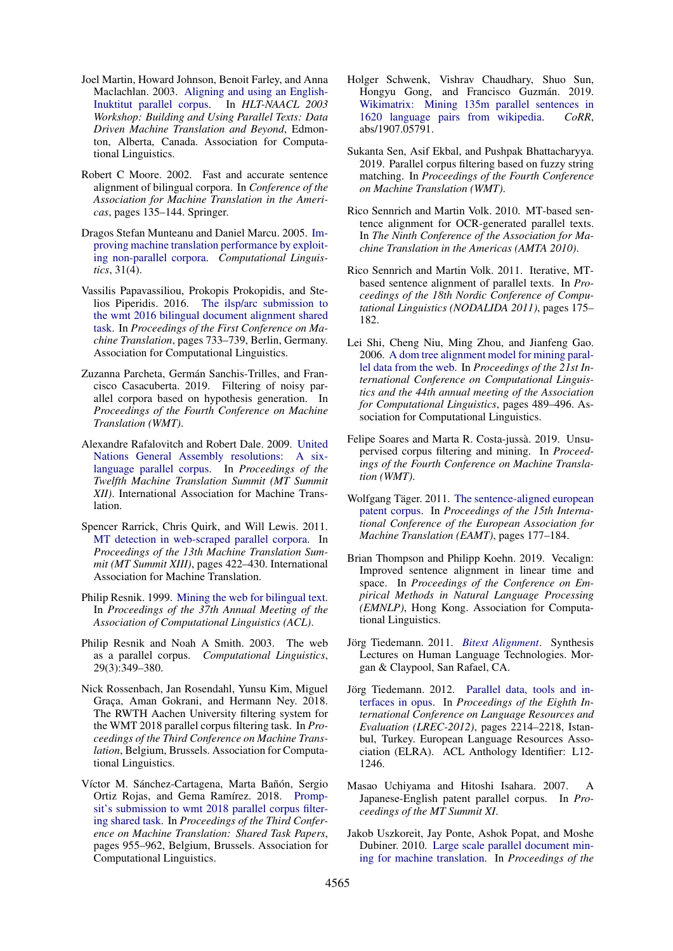- <span id="page-10-6"></span>Joel Martin, Howard Johnson, Benoit Farley, and Anna Maclachlan. 2003. [Aligning and using an English-](http://acl.ldc.upenn.edu/W/W03/W03-0320.pdf)[Inuktitut parallel corpus.](http://acl.ldc.upenn.edu/W/W03/W03-0320.pdf) In *HLT-NAACL 2003 Workshop: Building and Using Parallel Texts: Data Driven Machine Translation and Beyond*, Edmonton, Alberta, Canada. Association for Computational Linguistics.
- <span id="page-10-12"></span>Robert C Moore. 2002. Fast and accurate sentence alignment of bilingual corpora. In *Conference of the Association for Machine Translation in the Americas*, pages 135–144. Springer.
- <span id="page-10-20"></span>Dragos Stefan Munteanu and Daniel Marcu. 2005. [Im](http://acl.ldc.upenn.edu/J/J05/J05-4003.pdf?origin=publication_detail)[proving machine translation performance by exploit](http://acl.ldc.upenn.edu/J/J05/J05-4003.pdf?origin=publication_detail)[ing non-parallel corpora.](http://acl.ldc.upenn.edu/J/J05/J05-4003.pdf?origin=publication_detail) *Computational Linguistics*, 31(4).
- <span id="page-10-11"></span>Vassilis Papavassiliou, Prokopis Prokopidis, and Stelios Piperidis. 2016. [The ilsp/arc submission to](http://www.aclweb.org/anthology/W/W16/W16-2375) [the wmt 2016 bilingual document alignment shared](http://www.aclweb.org/anthology/W/W16/W16-2375) [task.](http://www.aclweb.org/anthology/W/W16/W16-2375) In *Proceedings of the First Conference on Machine Translation*, pages 733–739, Berlin, Germany. Association for Computational Linguistics.
- <span id="page-10-19"></span>Zuzanna Parcheta, Germán Sanchis-Trilles, and Francisco Casacuberta. 2019. Filtering of noisy parallel corpora based on hypothesis generation. In *Proceedings of the Fourth Conference on Machine Translation (WMT)*.
- <span id="page-10-4"></span>Alexandre Rafalovitch and Robert Dale. 2009. [United](http://www.uncorpora.org/Rafalovitch_Dale_MT_Summit_2009.pdf) [Nations General Assembly resolutions: A six](http://www.uncorpora.org/Rafalovitch_Dale_MT_Summit_2009.pdf)[language parallel corpus.](http://www.uncorpora.org/Rafalovitch_Dale_MT_Summit_2009.pdf) In *Proceedings of the Twelfth Machine Translation Summit (MT Summit XII)*. International Association for Machine Translation.
- <span id="page-10-2"></span>Spencer Rarrick, Chris Quirk, and Will Lewis. 2011. [MT detection in web-scraped parallel corpora.](http://www.mt-archive.info/MTS-2011-Rarrick.pdf) In *Proceedings of the 13th Machine Translation Summit (MT Summit XIII)*, pages 422–430. International Association for Machine Translation.
- <span id="page-10-0"></span>Philip Resnik. 1999. [Mining the web for bilingual text.](http://acl.ldc.upenn.edu/P/P99/P99-1068.pdf) In *Proceedings of the 37th Annual Meeting of the Association of Computational Linguistics (ACL)*.
- <span id="page-10-9"></span>Philip Resnik and Noah A Smith. 2003. The web as a parallel corpus. *Computational Linguistics*, 29(3):349–380.
- <span id="page-10-17"></span>Nick Rossenbach, Jan Rosendahl, Yunsu Kim, Miguel Graça, Aman Gokrani, and Hermann Ney. 2018. The RWTH Aachen University filtering system for the WMT 2018 parallel corpus filtering task. In *Proceedings of the Third Conference on Machine Translation*, Belgium, Brussels. Association for Computational Linguistics.
- <span id="page-10-22"></span>Víctor M. Sánchez-Cartagena, Marta Bañón, Sergio Ortiz Rojas, and Gema Ramírez. 2018. [Promp](https://www.aclweb.org/anthology/W18-6488)[sit's submission to wmt 2018 parallel corpus filter](https://www.aclweb.org/anthology/W18-6488)[ing shared task.](https://www.aclweb.org/anthology/W18-6488) In *Proceedings of the Third Conference on Machine Translation: Shared Task Papers*, pages 955–962, Belgium, Brussels. Association for Computational Linguistics.
- <span id="page-10-21"></span>Holger Schwenk, Vishrav Chaudhary, Shuo Sun, Hongyu Gong, and Francisco Guzmán. 2019. [Wikimatrix: Mining 135m parallel sentences in](http://arxiv.org/abs/1907.05791) [1620 language pairs from wikipedia.](http://arxiv.org/abs/1907.05791) *CoRR*, abs/1907.05791.
- <span id="page-10-18"></span>Sukanta Sen, Asif Ekbal, and Pushpak Bhattacharyya. 2019. Parallel corpus filtering based on fuzzy string matching. In *Proceedings of the Fourth Conference on Machine Translation (WMT)*.
- <span id="page-10-13"></span>Rico Sennrich and Martin Volk. 2010. MT-based sentence alignment for OCR-generated parallel texts. In *The Ninth Conference of the Association for Machine Translation in the Americas (AMTA 2010)*.
- <span id="page-10-14"></span>Rico Sennrich and Martin Volk. 2011. Iterative, MTbased sentence alignment of parallel texts. In *Proceedings of the 18th Nordic Conference of Computational Linguistics (NODALIDA 2011)*, pages 175– 182.
- <span id="page-10-10"></span>Lei Shi, Cheng Niu, Ming Zhou, and Jianfeng Gao. 2006. [A dom tree alignment model for mining paral](http://anthology.aclweb.org/P/P06/P06-1062.pdf)[lel data from the web.](http://anthology.aclweb.org/P/P06/P06-1062.pdf) In *Proceedings of the 21st International Conference on Computational Linguistics and the 44th annual meeting of the Association for Computational Linguistics*, pages 489–496. Association for Computational Linguistics.
- <span id="page-10-16"></span>Felipe Soares and Marta R. Costa-jussà. 2019. Unsupervised corpus filtering and mining. In *Proceedings of the Fourth Conference on Machine Translation (WMT)*.
- <span id="page-10-5"></span>Wolfgang Täger. 2011. [The sentence-aligned european](http://mt-archive.info/EAMT-2011-Tager.pdf) [patent corpus.](http://mt-archive.info/EAMT-2011-Tager.pdf) In *Proceedings of the 15th International Conference of the European Association for Machine Translation (EAMT)*, pages 177–184.
- <span id="page-10-15"></span>Brian Thompson and Philipp Koehn. 2019. Vecalign: Improved sentence alignment in linear time and space. In *Proceedings of the Conference on Empirical Methods in Natural Language Processing (EMNLP)*, Hong Kong. Association for Computational Linguistics.
- <span id="page-10-3"></span>Jörg Tiedemann. 2011. [Bitext Alignment](https://doi.org/10.2200/S00367ED1V01Y201106HLT014). Synthesis Lectures on Human Language Technologies. Morgan & Claypool, San Rafael, CA.
- <span id="page-10-8"></span>Jörg Tiedemann. 2012. [Parallel data, tools and in](http://www.lrec-conf.org/proceedings/lrec2012/pdf/463_Paper.pdf)[terfaces in opus.](http://www.lrec-conf.org/proceedings/lrec2012/pdf/463_Paper.pdf) In *Proceedings of the Eighth International Conference on Language Resources and Evaluation (LREC-2012)*, pages 2214–2218, Istanbul, Turkey. European Language Resources Association (ELRA). ACL Anthology Identifier: L12- 1246.
- <span id="page-10-7"></span>Masao Uchiyama and Hitoshi Isahara. 2007. A Japanese-English patent parallel corpus. In *Proceedings of the MT Summit XI*.
- <span id="page-10-1"></span>Jakob Uszkoreit, Jay Ponte, Ashok Popat, and Moshe Dubiner. 2010. [Large scale parallel document min](http://www.aclweb.org/anthology/C10-1124)[ing for machine translation.](http://www.aclweb.org/anthology/C10-1124) In *Proceedings of the*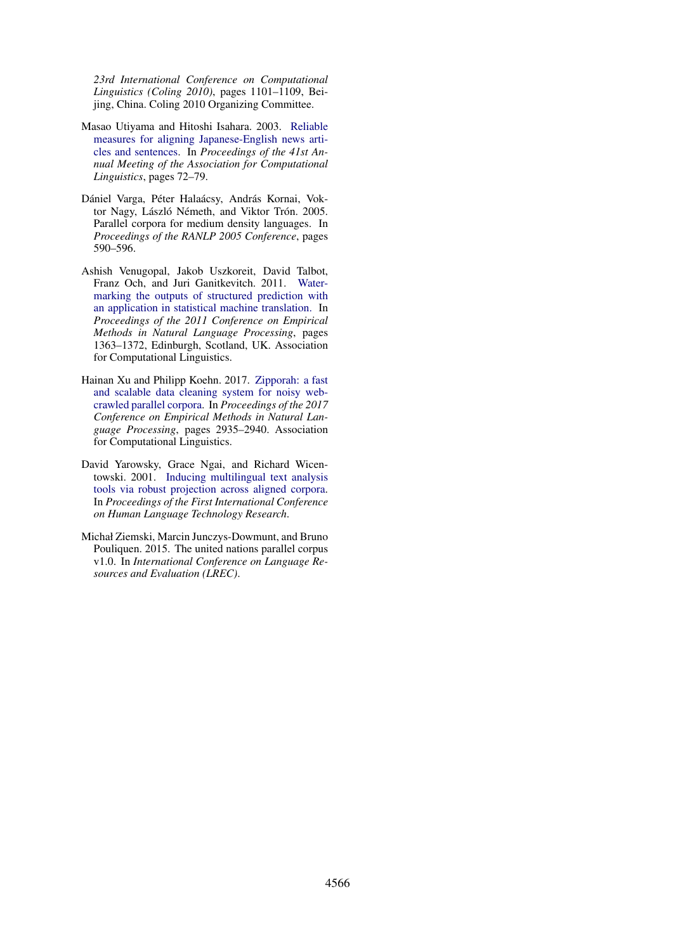*23rd International Conference on Computational Linguistics (Coling 2010)*, pages 1101–1109, Beijing, China. Coling 2010 Organizing Committee.

- <span id="page-11-2"></span>Masao Utiyama and Hitoshi Isahara. 2003. [Reliable](http://www.aclweb.org/anthology/P03-1010.pdf) [measures for aligning Japanese-English news arti](http://www.aclweb.org/anthology/P03-1010.pdf)[cles and sentences.](http://www.aclweb.org/anthology/P03-1010.pdf) In *Proceedings of the 41st Annual Meeting of the Association for Computational Linguistics*, pages 72–79.
- <span id="page-11-3"></span>Dániel Varga, Péter Halaácsy, András Kornai, Voktor Nagy, László Németh, and Viktor Trón. 2005. Parallel corpora for medium density languages. In *Proceedings of the RANLP 2005 Conference*, pages 590–596.
- <span id="page-11-4"></span>Ashish Venugopal, Jakob Uszkoreit, David Talbot, Franz Och, and Juri Ganitkevitch. 2011. [Water](http://www.aclweb.org/anthology/D11-1126)[marking the outputs of structured prediction with](http://www.aclweb.org/anthology/D11-1126) [an application in statistical machine translation.](http://www.aclweb.org/anthology/D11-1126) In *Proceedings of the 2011 Conference on Empirical Methods in Natural Language Processing*, pages 1363–1372, Edinburgh, Scotland, UK. Association for Computational Linguistics.
- <span id="page-11-5"></span>Hainan Xu and Philipp Koehn. 2017. [Zipporah: a fast](http://aclweb.org/anthology/D17-1318) [and scalable data cleaning system for noisy web](http://aclweb.org/anthology/D17-1318)[crawled parallel corpora.](http://aclweb.org/anthology/D17-1318) In *Proceedings of the 2017 Conference on Empirical Methods in Natural Language Processing*, pages 2935–2940. Association for Computational Linguistics.
- <span id="page-11-0"></span>David Yarowsky, Grace Ngai, and Richard Wicentowski. 2001. [Inducing multilingual text analysis](https://www.aclweb.org/anthology/H01-1035) [tools via robust projection across aligned corpora.](https://www.aclweb.org/anthology/H01-1035) In *Proceedings of the First International Conference on Human Language Technology Research*.
- <span id="page-11-1"></span>Michał Ziemski, Marcin Junczys-Dowmunt, and Bruno Pouliquen. 2015. The united nations parallel corpus v1.0. In *International Conference on Language Resources and Evaluation (LREC)*.